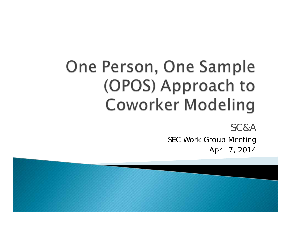# One Person, One Sample (OPOS) Approach to **Coworker Modeling**

SC&A

SEC Work Group Meeting April 7, 2014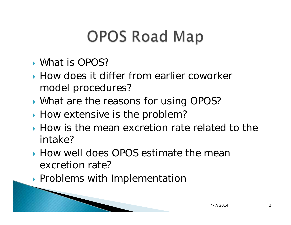# **OPOS Road Map**

- What is OPOS?
- How does it differ from earlier coworker model procedures?
- **What are the reasons for using OPOS?**
- $\blacktriangleright$  How extensive is the problem?
- How is the mean excretion rate related to the intake?
- How well does OPOS estimate the mean excretion rate?
- **Problems with Implementation**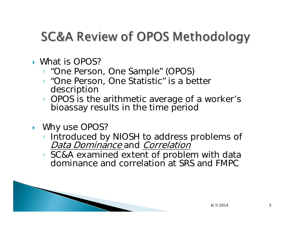#### **SC&A Review of OPOS Methodology**

#### What is OPOS?

- "One Person, One Sample" (OPOS)
- "One Person, One Statistic" is a better description
- OPOS is the arithmetic average of a worker's bioassay results in the time period
- **Mhy use OPOS?** 
	- Introduced by NIOSH to address problems of Data Dominance and Correlation
	- SC&A examined extent of problem with data dominance and correlation at SRS and FMPC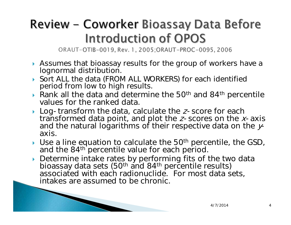#### Review – Coworker Bioassay Data Before **Introduction of OPOS**

ORAUT-OTIB-0019, Rev. 1, 2005; ORAUT-PROC-0095, 2006

- Assumes that bioassay results for the group of workers have a lognormal distribution.
- Sort ALL the data (FROM ALL WORKERS) for each identified period from low to high results.
- Rank all the data and determine the 50<sup>th</sup> and 84<sup>th</sup> percentile values for the ranked data.
- $\blacktriangleright$  Log-transform the data, calculate the *z*-score for each transformed data point, and plot the *z*-scores on the *x*-axis and the natural logarithms of their respective data on the  $\mathcal{Y}$ axis.
- $\blacktriangleright$  Use a line equation to calculate the 50<sup>th</sup> percentile, the GSD, and the 84<sup>th</sup> percentile value for each period.
- Determine intake rates by performing fits of the two data Botoming minites (50<sup>th</sup> and 84<sup>th</sup> percentile results) associated with each radionuclide. For most data sets, intakes are assumed to be chronic.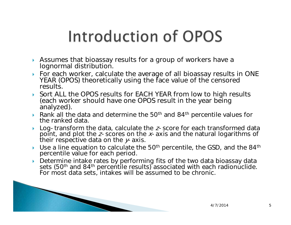# Introduction of OPOS

- $\blacktriangleright$  Assumes that bioassay results for a group of workers have a lognormal distribution.
- For each worker, calculate the average of all bioassay results in ONE YEAR (OPOS) theoretically using the face value of the censored results.
- Sort ALL the OPOS results for EACH YEAR from low to high results (each worker should have one OPOS result in the year being analyzed).
- Rank all the data and determine the 50<sup>th</sup> and 84<sup>th</sup> percentile values for the ranked data.
- ▶ ▶ Log-transform the data, calculate the *z*-score for each transformed data point, and plot the *z*-scores on the *x*-axis and the natural logarithms of their respective data on the  $y$ -axis.
- $\blacktriangleright$ Use a line equation to calculate the  $50<sup>th</sup>$  percentile, the GSD, and the  $84<sup>th</sup>$ percentile value for each period.
- ▶ Determine intake rates by performing fits of the two data bioassay data sets (50<sup>th</sup> and 84<sup>th</sup> percentile results) associated with each radionuclide. For most data sets, intakes will be assumed to be chronic.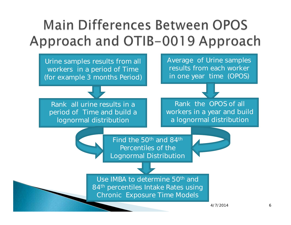#### **Main Differences Between OPOS** Approach and OTIB-0019 Approach

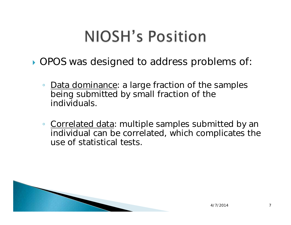## **NIOSH's Position**

- OPOS was designed to address problems of:
	- $\bullet$  Data dominance: a large fraction of the samples being submitted by small fraction of the individuals.
	- <u>Correlated data</u>: multiple samples submitted by an individual can be correlated, which complicates the use of statistical tests.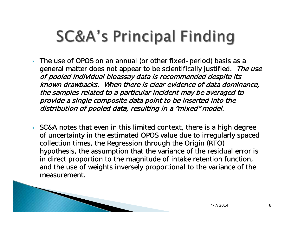## **SC&A's Principal Finding**

- ▶ The use of OPOS on an annual (or other fixed-period) basis as a general matter does not appear to be scientifically justified. The use of pooled individual bioassay data is recommended despite its known drawbacks. When there is clear evidence of data dominance, the samples related to a particular incident may be averaged to provide a single composite data point to be inserted into the distribution of pooled data, resulting in a "mixed" model.
- $\blacktriangleright$  SC&A notes that even in this limited context, there is a high degree of uncertainty in the estimated OPOS value due to irregularly spaced collection times, the Regression through the Origin (RTO) hypothesis, the assumption that the variance of the residual error is in direct proportion to the magnitude of intake retention function, and the use of weights inversely proportional to the variance of the measurement.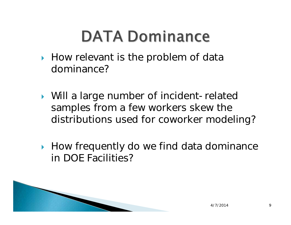## **DATA Dominance**

- $\blacktriangleright$  How relevant is the problem of data dominance?
- Will a large number of incident-related samples from a few workers skew the distributions used for coworker modeling?
- ▶ How frequently do we find data dominance in DOE Facilities?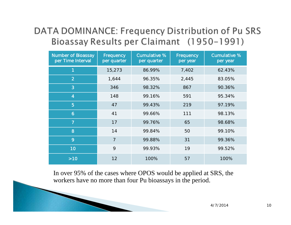#### DATA DOMINANCE: Frequency Distribution of Pu SRS Bioassay Results per Claimant (1950-1991)

| <b>Number of Bioassay</b><br>per Time Interval | Frequency<br>per quarter | <b>Cumulative %</b><br>per quarter | Frequency<br>per year | <b>Cumulative %</b><br>per year |
|------------------------------------------------|--------------------------|------------------------------------|-----------------------|---------------------------------|
| 1                                              | 15,273                   | 86.99%                             | 7,402                 | 62.43%                          |
| $\overline{2}$                                 | 1,644                    | 96.35%                             | 2,445                 | 83.05%                          |
| 3                                              | 346                      | 98.32%                             | 867                   | 90.36%                          |
| $\overline{4}$                                 | 148                      | 99.16%                             | 591                   | 95.34%                          |
| 5                                              | 47                       | 99.43%                             | 219                   | 97.19%                          |
| $\ddot{\mathbf{6}}$                            | 41                       | 99.66%                             | 111                   | 98.13%                          |
| $\overline{7}$                                 | 17                       | 99.76%                             | 65                    | 98.68%                          |
| 8                                              | 14                       | 99.84%                             | 50                    | 99.10%                          |
| 9                                              | $\overline{7}$           | 99.88%                             | 31                    | 99.36%                          |
| 10                                             | 9                        | 99.93%                             | 19                    | 99.52%                          |
| $>10$                                          | 12                       | 100%                               | 57                    | 100%                            |

In over 95% of the cases where OPOS would be applied at SRS, the workers have no more than four Pu bioassays in the period.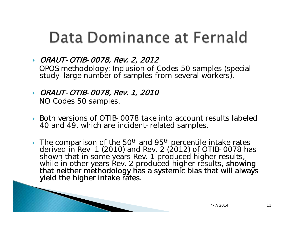### Data Dominance at Fernald

#### ORAUT-OTIB-0078, Rev. 2, 2012 OPOS methodology: Inclusion of Codes 50 samples (special study-large number of samples from several workers).

- ORAUT-OTIB-0078, Rev. 1, 2010 NO Codes 50 samples.
- ▶ Both versions of OTIB-0078 take into account results labeled 40 and 49, which are incident-related samples.
- $\triangleright$  The comparison of the 50<sup>th</sup> and 95<sup>th</sup> percentile intake rates derived in Rev. 1 (2010) and Rev. 2 (2012) of OTIB-0078 has shown that in some years Rev. 1 produced higher results, while in other years Rev. 2 produced higher results, showing that neither methodology has a systemic bias that will always yield the higher intake rates.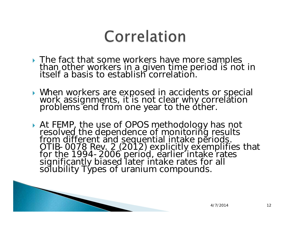### Correlation

- The fact that some workers have more samples<br>than other workers in a given time period is not in<br>itself a basis to establish correlation.
- When workers are exposed in accidents or special work assignments, it is not clear why correlation problems end from one year to the other.
- At FEMP, the use of OPOS methodology has not<br>resolved the dependence of monitoring results<br>from different and sequential intake periods.<br>OTIB-0078 Rev. 2 (2012) explicitly exemplifies that<br>for the 1994-2006 period, earlier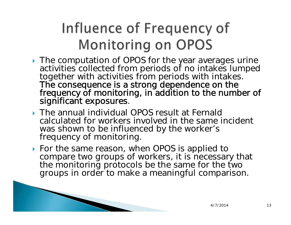#### Influence of Frequency of **Monitoring on OPOS**

- **The computation of OPOS for the year averages urine** activities collected from periods of no intakes lumped<br>together with activities from periods with intakes. The consequence is a strong dependence on the<br>frequency of monitoring, in addition to the number of<br>significant exposures.
- The annual individual OPOS result at Fernald calculated for workers involved in the same incident was shown to be influenced by the worker's frequency of monitoring.
- ▶ For the same reason, when OPOS is applied to compare two groups of workers, it is necessary that the monitoring protocols be the same for the two groups in order to make a meaningful comparison.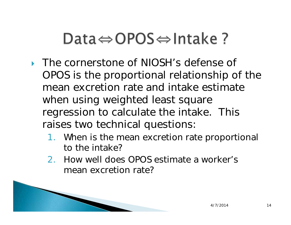## Data $\Leftrightarrow$  OPOS $\Leftrightarrow$  Intake ?

- ▶ The cornerstone of NIOSH's defense of OPOS is the proportional relationship of the mean excretion rate and intake estimate when using weighted least square regression to calculate the intake. This raises two technical questions:
	- 1. When is the mean excretion rate proportional to the intake?
	- 2. How well does OPOS estimate a worker's mean excretion rate?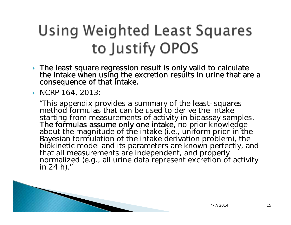## **Using Weighted Least Squares** to Justify OPOS

- The least square regression result is only valid to calculate the intake when using the excretion results in urine that are a consequence of that intake.
- ▶ NCRP 164, 2013:

"This appendix provides a summary of the least-squares method formulas that can be used to derive the intake starting from measurements of activity in bioassay samples.<br>The formulas assume only one intake, no prior knowledge<br>about the magnitude of the intake (i.e., uniform prior in the<br>Bayesian formulation of the intake derivatio biokinetic model and its parameters are known perfectly, and<br>that all measurements are independent, and properly normalized (e.g., all urine data represent excretion of activity in 24 h)."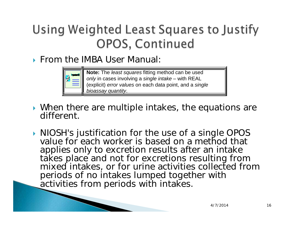#### Using Weighted Least Squares to Justify **OPOS, Continued**

**From the IMBA User Manual:** 



**Note:** The *least squares* fitting method can be used *only* in cases involving a *single intake* – with REAL (explicit) *error values* on each data point, and a *single bioassay quantity*.

- When there are multiple intakes, the equations are different.
- **NIOSH's justification for the use of a single OPOS** value for each worker is based on a method that applies only to excretion results after an intake takes place and not for excretions resulting from mixed intakes, or for urine activities collected from periods of no intakes lumped together with activities from periods with intakes.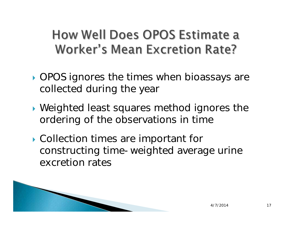**How Well Does OPOS Estimate a Worker's Mean Excretion Rate?** 

- **OPOS** ignores the times when bioassays are collected during the year
- Weighted least squares method ignores the ordering of the observations in time
- Collection times are important for constructing time-weighted average urine excretion rates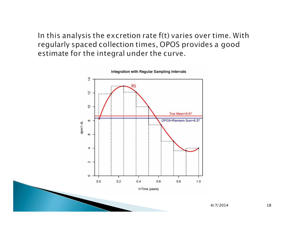In this analysis the excretion rate f(t) varies over time. With regularly spaced collection times, OPOS provides a good estimate for the integral under the curve.

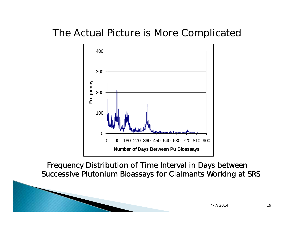#### The Actual Picture is More Complicated



Frequency Distribution of Time Interval in Days between Successive Plutonium Bioassays for Claimants Working at SRS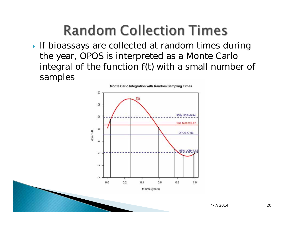#### **Random Collection Times**

If bioassays are collected at random times during the year, OPOS is interpreted as a Monte Carlo integral of the function f(t) with a small number of samples

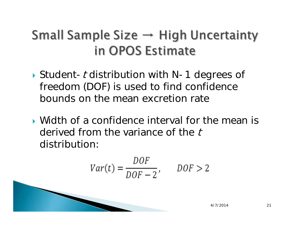#### Small Sample Size  $\rightarrow$  High Uncertainty in OPOS Estimate

- $\blacktriangleright$  Student-t distribution with N-1 degrees of freedom (DOF) is used to find confidence bounds on the mean excretion rate
- Width of a confidence interval for the mean is derived from the variance of the t distribution:

$$
Var(t) = \frac{DOF}{DOF - 2}, \qquad DOF > 2
$$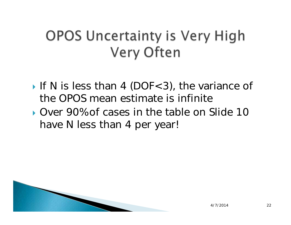#### OPOS Uncertainty is Very High **Very Often**

- If N is less than 4 (DOF<3), the variance of the OPOS mean estimate is infinite
- Over 90% of cases in the table on Slide 10 have N less than 4 per year!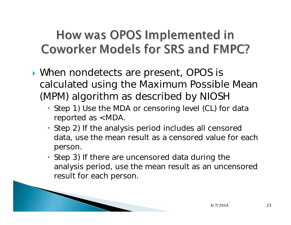#### How was OPOS Implemented in **Coworker Models for SRS and FMPC?**

- When nondetects are present, OPOS is calculated using the Maximum Possible Mean (MPM) algorithm as described by NIOSH
	- Step 1) Use the MDA or censoring level (CL) for data reported as <MDA.
	- Step 2) If the analysis period includes all censored data, use the mean result as a censored value for each person.
	- Step 3) If there are uncensored data during the analysis period, use the mean result as an uncensored result for each person.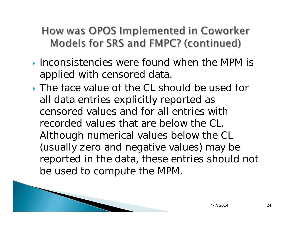#### How was OPOS Implemented in Coworker Models for SRS and FMPC? (continued)

- $\blacktriangleright$  Inconsistencies were found when the MPM is applied with censored data.
- The face value of the CL should be used for all data entries explicitly reported as censored values and for all entries with recorded values that are below the CL. Although numerical values below the CL (usually zero and negative values) may be reported in the data, these entries should not be used to compute the MPM.